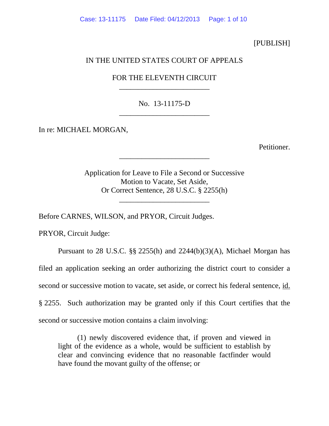## [PUBLISH]

## IN THE UNITED STATES COURT OF APPEALS

## FOR THE ELEVENTH CIRCUIT \_\_\_\_\_\_\_\_\_\_\_\_\_\_\_\_\_\_\_\_\_\_\_\_

No. 13-11175-D \_\_\_\_\_\_\_\_\_\_\_\_\_\_\_\_\_\_\_\_\_\_\_\_

In re: MICHAEL MORGAN,

Petitioner.

Application for Leave to File a Second or Successive Motion to Vacate, Set Aside, Or Correct Sentence, 28 U.S.C. § 2255(h)

\_\_\_\_\_\_\_\_\_\_\_\_\_\_\_\_\_\_\_\_\_\_\_\_

\_\_\_\_\_\_\_\_\_\_\_\_\_\_\_\_\_\_\_\_\_\_\_\_

Before CARNES, WILSON, and PRYOR, Circuit Judges.

PRYOR, Circuit Judge:

Pursuant to 28 U.S.C.  $\S$  2255(h) and 2244(b)(3)(A), Michael Morgan has filed an application seeking an order authorizing the district court to consider a second or successive motion to vacate, set aside, or correct his federal sentence, id. § 2255. Such authorization may be granted only if this Court certifies that the second or successive motion contains a claim involving:

(1) newly discovered evidence that, if proven and viewed in light of the evidence as a whole, would be sufficient to establish by clear and convincing evidence that no reasonable factfinder would have found the movant guilty of the offense; or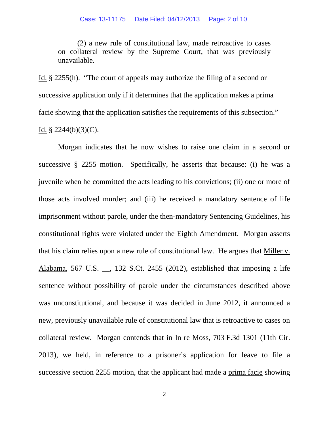(2) a new rule of constitutional law, made retroactive to cases on collateral review by the Supreme Court, that was previously unavailable.

Id. § 2255(h). "The court of appeals may authorize the filing of a second or successive application only if it determines that the application makes a prima facie showing that the application satisfies the requirements of this subsection." Id.  $\S$  2244(b)(3)(C).

Morgan indicates that he now wishes to raise one claim in a second or successive § 2255 motion. Specifically, he asserts that because: (i) he was a juvenile when he committed the acts leading to his convictions; (ii) one or more of those acts involved murder; and (iii) he received a mandatory sentence of life imprisonment without parole, under the then-mandatory Sentencing Guidelines, his constitutional rights were violated under the Eighth Amendment. Morgan asserts that his claim relies upon a new rule of constitutional law. He argues that Miller v. Alabama, 567 U.S. \_\_, 132 S.Ct. 2455 (2012), established that imposing a life sentence without possibility of parole under the circumstances described above was unconstitutional, and because it was decided in June 2012, it announced a new, previously unavailable rule of constitutional law that is retroactive to cases on collateral review. Morgan contends that in In re Moss, 703 F.3d 1301 (11th Cir. 2013), we held, in reference to a prisoner's application for leave to file a successive section 2255 motion, that the applicant had made a prima facie showing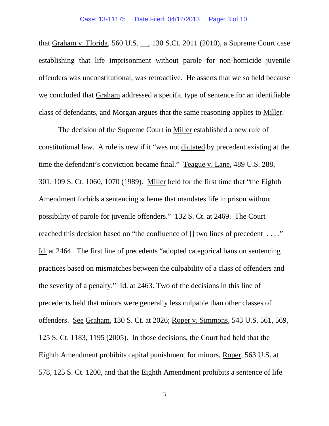that Graham v. Florida, 560 U.S. \_\_, 130 S.Ct. 2011 (2010), a Supreme Court case establishing that life imprisonment without parole for non-homicide juvenile offenders was unconstitutional, was retroactive. He asserts that we so held because we concluded that Graham addressed a specific type of sentence for an identifiable class of defendants, and Morgan argues that the same reasoning applies to Miller.

The decision of the Supreme Court in Miller established a new rule of constitutional law. A rule is new if it "was not dictated by precedent existing at the time the defendant's conviction became final." Teague v. Lane, 489 U.S. 288, 301, 109 S. Ct. 1060, 1070 (1989). Miller held for the first time that "the Eighth Amendment forbids a sentencing scheme that mandates life in prison without possibility of parole for juvenile offenders." 132 S. Ct. at 2469. The Court reached this decision based on "the confluence of  $[]$  two lines of precedent ...." Id. at 2464. The first line of precedents "adopted categorical bans on sentencing practices based on mismatches between the culpability of a class of offenders and the severity of a penalty." Id. at 2463. Two of the decisions in this line of precedents held that minors were generally less culpable than other classes of offenders. See Graham, 130 S. Ct. at 2026; Roper v. Simmons, 543 U.S. 561, 569, 125 S. Ct. 1183, 1195 (2005). In those decisions, the Court had held that the Eighth Amendment prohibits capital punishment for minors, Roper, 563 U.S. at 578, 125 S. Ct. 1200, and that the Eighth Amendment prohibits a sentence of life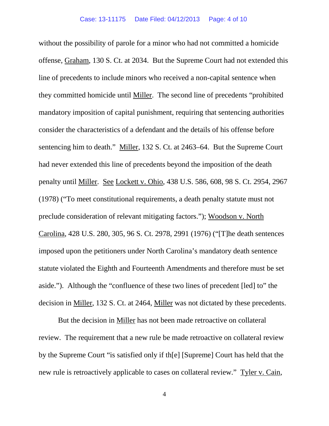without the possibility of parole for a minor who had not committed a homicide offense, Graham, 130 S. Ct. at 2034. But the Supreme Court had not extended this line of precedents to include minors who received a non-capital sentence when they committed homicide until Miller. The second line of precedents "prohibited mandatory imposition of capital punishment, requiring that sentencing authorities consider the characteristics of a defendant and the details of his offense before sentencing him to death." Miller, 132 S. Ct. at 2463–64. But the Supreme Court had never extended this line of precedents beyond the imposition of the death penalty until Miller. See Lockett v. Ohio, 438 U.S. 586, 608, 98 S. Ct. 2954, 2967 (1978) ("To meet constitutional requirements, a death penalty statute must not preclude consideration of relevant mitigating factors."); Woodson v. North Carolina, 428 U.S. 280, 305, 96 S. Ct. 2978, 2991 (1976) ("[T]he death sentences imposed upon the petitioners under North Carolina's mandatory death sentence statute violated the Eighth and Fourteenth Amendments and therefore must be set aside."). Although the "confluence of these two lines of precedent [led] to" the decision in Miller, 132 S. Ct. at 2464, Miller was not dictated by these precedents.

But the decision in Miller has not been made retroactive on collateral review. The requirement that a new rule be made retroactive on collateral review by the Supreme Court "is satisfied only if th[e] [Supreme] Court has held that the new rule is retroactively applicable to cases on collateral review." Tyler v. Cain,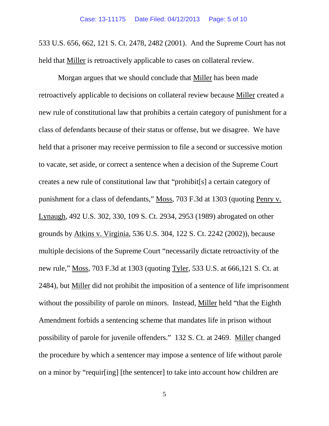533 U.S. 656, 662, 121 S. Ct. 2478, 2482 (2001). And the Supreme Court has not held that Miller is retroactively applicable to cases on collateral review.

Morgan argues that we should conclude that Miller has been made retroactively applicable to decisions on collateral review because Miller created a new rule of constitutional law that prohibits a certain category of punishment for a class of defendants because of their status or offense, but we disagree. We have held that a prisoner may receive permission to file a second or successive motion to vacate, set aside, or correct a sentence when a decision of the Supreme Court creates a new rule of constitutional law that "prohibit[s] a certain category of punishment for a class of defendants," Moss, 703 F.3d at 1303 (quoting Penry v. Lynaugh, 492 U.S. 302, 330, 109 S. Ct. 2934, 2953 (1989) abrogated on other grounds by Atkins v. Virginia, 536 U.S. 304, 122 S. Ct. 2242 (2002)), because multiple decisions of the Supreme Court "necessarily dictate retroactivity of the new rule," Moss, 703 F.3d at 1303 (quoting Tyler, 533 U.S. at 666,121 S. Ct. at 2484), but Miller did not prohibit the imposition of a sentence of life imprisonment without the possibility of parole on minors. Instead, Miller held "that the Eighth Amendment forbids a sentencing scheme that mandates life in prison without possibility of parole for juvenile offenders." 132 S. Ct. at 2469. Miller changed the procedure by which a sentencer may impose a sentence of life without parole on a minor by "requir[ing] [the sentencer] to take into account how children are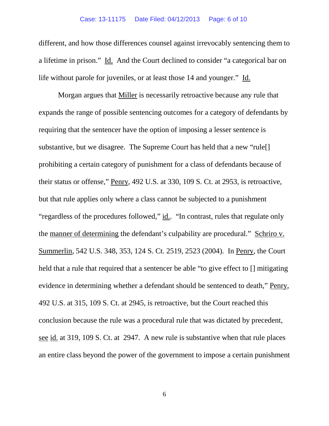different, and how those differences counsel against irrevocably sentencing them to a lifetime in prison." Id. And the Court declined to consider "a categorical bar on life without parole for juveniles, or at least those 14 and younger." Id.

Morgan argues that Miller is necessarily retroactive because any rule that expands the range of possible sentencing outcomes for a category of defendants by requiring that the sentencer have the option of imposing a lesser sentence is substantive, but we disagree. The Supreme Court has held that a new "rule<sup>[]</sup> prohibiting a certain category of punishment for a class of defendants because of their status or offense," Penry, 492 U.S. at 330, 109 S. Ct. at 2953, is retroactive, but that rule applies only where a class cannot be subjected to a punishment "regardless of the procedures followed," id.. "In contrast, rules that regulate only the manner of determining the defendant's culpability are procedural." Schriro v. Summerlin, 542 U.S. 348, 353, 124 S. Ct. 2519, 2523 (2004). In Penry, the Court held that a rule that required that a sentencer be able "to give effect to  $\Box$  mitigating evidence in determining whether a defendant should be sentenced to death," Penry, 492 U.S. at 315, 109 S. Ct. at 2945, is retroactive, but the Court reached this conclusion because the rule was a procedural rule that was dictated by precedent, see id. at 319, 109 S. Ct. at 2947. A new rule is substantive when that rule places an entire class beyond the power of the government to impose a certain punishment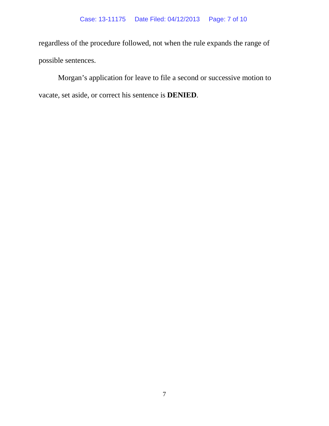regardless of the procedure followed, not when the rule expands the range of possible sentences.

Morgan's application for leave to file a second or successive motion to vacate, set aside, or correct his sentence is **DENIED**.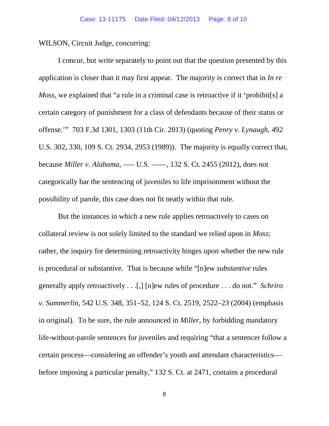WILSON, Circuit Judge, concurring:

I concur, but write separately to point out that the question presented by this application is closer than it may first appear. The majority is correct that in *In re Moss*, we explained that "a rule in a criminal case is retroactive if it 'prohibit[s] a certain category of punishment for a class of defendants because of their status or offense.'" 703 F.3d 1301, 1303 (11th Cir. 2013) (quoting *Penry v. Lynaugh*, 492 U.S. 302, 330, 109 S. Ct. 2934, 2953 (1989)). The majority is equally correct that, because *Miller v. Alabama*, ––– U.S. ––––, 132 S. Ct. 2455 (2012), does not categorically bar the sentencing of juveniles to life imprisonment without the possibility of parole, this case does not fit neatly within that rule.

But the instances in which a new rule applies retroactively to cases on collateral review is not solely limited to the standard we relied upon in *Moss*; rather, the inquiry for determining retroactivity hinges upon whether the new rule is procedural or substantive. That is because while "[n]ew *substantive* rules generally apply retroactively . . .[,] [n]ew rules of procedure . . . do not." *Schriro v. Summerlin*, 542 U.S. 348, 351–52, 124 S. Ct. 2519, 2522–23 (2004) (emphasis in original). To be sure, the rule announced in *Miller*, by forbidding mandatory life-without-parole sentences for juveniles and requiring "that a sentencer follow a certain process—considering an offender's youth and attendant characteristics before imposing a particular penalty," 132 S. Ct. at 2471, contains a procedural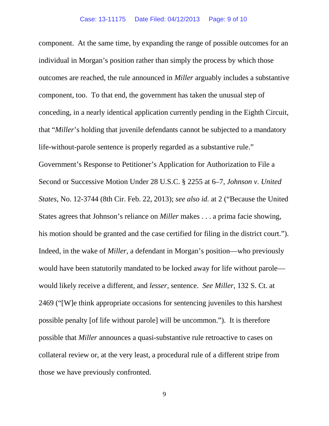component. At the same time, by expanding the range of possible outcomes for an individual in Morgan's position rather than simply the process by which those outcomes are reached, the rule announced in *Miller* arguably includes a substantive component, too. To that end, the government has taken the unusual step of conceding, in a nearly identical application currently pending in the Eighth Circuit, that "*Miller*'s holding that juvenile defendants cannot be subjected to a mandatory life-without-parole sentence is properly regarded as a substantive rule." Government's Response to Petitioner's Application for Authorization to File a Second or Successive Motion Under 28 U.S.C. § 2255 at 6–7, *Johnson v. United States*, No. 12-3744 (8th Cir. Feb. 22, 2013); *see also id.* at 2 ("Because the United States agrees that Johnson's reliance on *Miller* makes . . . a prima facie showing, his motion should be granted and the case certified for filing in the district court."). Indeed, in the wake of *Miller*, a defendant in Morgan's position—who previously would have been statutorily mandated to be locked away for life without parole would likely receive a different, and *lesser*, sentence. *See Miller*, 132 S. Ct. at 2469 ("[W]e think appropriate occasions for sentencing juveniles to this harshest possible penalty [of life without parole] will be uncommon."). It is therefore possible that *Miller* announces a quasi-substantive rule retroactive to cases on collateral review or, at the very least, a procedural rule of a different stripe from those we have previously confronted.